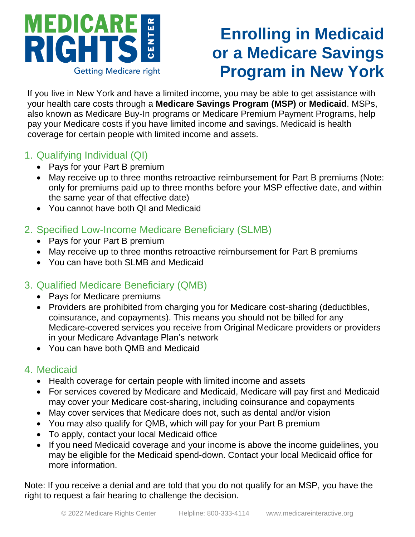

# **Enrolling in Medicaid or a Medicare Savings Program in New York**

If you live in New York and have a limited income, you may be able to get assistance with your health care costs through a **Medicare Savings Program (MSP)** or **Medicaid**. MSPs, also known as Medicare Buy-In programs or Medicare Premium Payment Programs, help pay your Medicare costs if you have limited income and savings. Medicaid is health coverage for certain people with limited income and assets.

#### 1. Qualifying Individual (QI)

- Pays for your Part B premium
- May receive up to three months retroactive reimbursement for Part B premiums (Note: only for premiums paid up to three months before your MSP effective date, and within the same year of that effective date)
- You cannot have both QI and Medicaid

#### 2. Specified Low-Income Medicare Beneficiary (SLMB)

- Pays for your Part B premium
- May receive up to three months retroactive reimbursement for Part B premiums
- You can have both SLMB and Medicaid

### 3. Qualified Medicare Beneficiary (QMB)

- Pays for Medicare premiums
- Providers are prohibited from charging you for Medicare cost-sharing (deductibles, coinsurance, and copayments). This means you should not be billed for any Medicare-covered services you receive from Original Medicare providers or providers in your Medicare Advantage Plan's network
- You can have both QMB and Medicaid

#### 4. Medicaid

- Health coverage for certain people with limited income and assets
- For services covered by Medicare and Medicaid, Medicare will pay first and Medicaid may cover your Medicare cost-sharing, including coinsurance and copayments
- May cover services that Medicare does not, such as dental and/or vision
- You may also qualify for QMB, which will pay for your Part B premium
- To apply, contact your local Medicaid office
- If you need Medicaid coverage and your income is above the income guidelines, you may be eligible for the Medicaid spend-down. Contact your local Medicaid office for more information.

Note: If you receive a denial and are told that you do not qualify for an MSP, you have the right to request a fair hearing to challenge the decision.